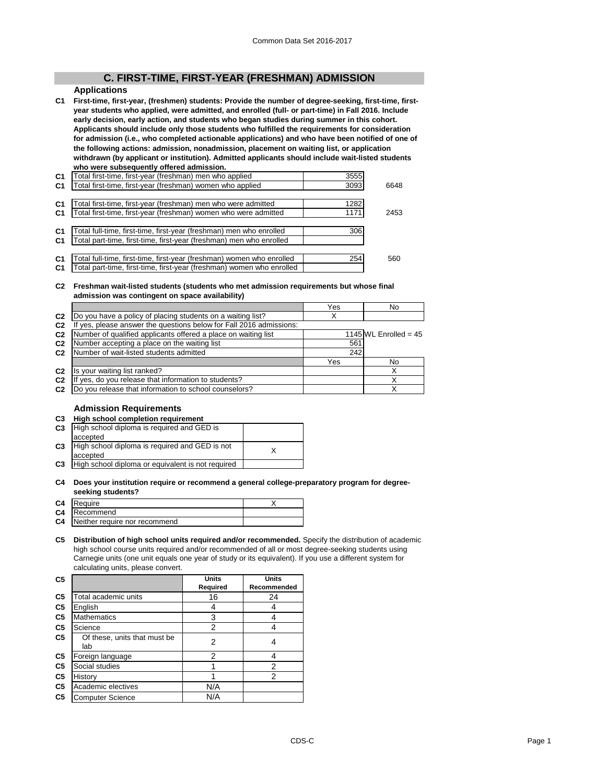# **C. FIRST-TIME, FIRST-YEAR (FRESHMAN) ADMISSION**

# **Applications**

**C1 First-time, first-year, (freshmen) students: Provide the number of degree-seeking, first-time, firstyear students who applied, were admitted, and enrolled (full- or part-time) in Fall 2016. Include early decision, early action, and students who began studies during summer in this cohort. Applicants should include only those students who fulfilled the requirements for consideration for admission (i.e., who completed actionable applications) and who have been notified of one of the following actions: admission, nonadmission, placement on waiting list, or application withdrawn (by applicant or institution). Admitted applicants should include wait-listed students who were subsequently offered admission.**

| C <sub>1</sub> | "otal first-time, first-year (freshman) men who applied               | 3555 |      |
|----------------|-----------------------------------------------------------------------|------|------|
| C <sub>1</sub> | Total first-time, first-year (freshman) women who applied             | 3093 | 6648 |
|                |                                                                       |      |      |
| C <sub>1</sub> | Total first-time, first-year (freshman) men who were admitted         | 1282 |      |
| C <sub>1</sub> | Total first-time, first-year (freshman) women who were admitted       | 1171 | 2453 |
|                |                                                                       |      |      |
| C <sub>1</sub> | otal full-time, first-time, first-year (freshman) men who enrolled    | 306  |      |
| C <sub>1</sub> | Total part-time, first-time, first-year (freshman) men who enrolled   |      |      |
|                |                                                                       |      |      |
| C <sub>1</sub> | otal full-time, first-time, first-year (freshman) women who enrolled  | 254  | 560  |
| C <sub>1</sub> | Total part-time, first-time, first-year (freshman) women who enrolled |      |      |
|                |                                                                       |      |      |

### **C2 Freshman wait-listed students (students who met admission requirements but whose final admission was contingent on space availability)**

|                |                                                                  | Yes | No                      |
|----------------|------------------------------------------------------------------|-----|-------------------------|
| C <sub>2</sub> | Do you have a policy of placing students on a waiting list?      |     |                         |
| C <sub>2</sub> | yes, please answer the questions below for Fall 2016 admissions: |     |                         |
| C <sub>2</sub> | Number of qualified applicants offered a place on waiting list   |     | 1145 WL Enrolled = $45$ |
| C <sub>2</sub> | Number accepting a place on the waiting list                     | 561 |                         |
| C <sub>2</sub> | Number of wait-listed students admitted                          | 242 |                         |
|                |                                                                  | Yes | No                      |
| C <sub>2</sub> | Is your waiting list ranked?                                     |     |                         |
| C <sub>2</sub> | yes, do you release that information to students?                |     |                         |
| C <sub>2</sub> | Do you release that information to school counselors?            |     |                         |

### **Admission Requirements**

**C3 High school completion requirement**

| C <sub>3</sub> | High school diploma is required and GED is<br>accepted     |  |
|----------------|------------------------------------------------------------|--|
| C <sub>3</sub> | High school diploma is required and GED is not<br>accepted |  |
| C <sub>3</sub> | High school diploma or equivalent is not required          |  |
|                |                                                            |  |

#### **C4 Does your institution require or recommend a general college-preparatory program for degreeseeking students?**

| C <sub>4</sub> | Require                       |  |
|----------------|-------------------------------|--|
| C4             | Recommend                     |  |
| C <sub>4</sub> | Neither require nor recommend |  |

**C5 Distribution of high school units required and/or recommended.** Specify the distribution of academic high school course units required and/or recommended of all or most degree-seeking students using Carnegie units (one unit equals one year of study or its equivalent). If you use a different system for calculating units, please convert.

| C5             |                                     | Units          | Units       |
|----------------|-------------------------------------|----------------|-------------|
|                |                                     | Required       | Recommended |
| C <sub>5</sub> | Total academic units                | 16             | 24          |
| C5             | English                             | 4              |             |
| C <sub>5</sub> | <b>Mathematics</b>                  | 3              |             |
| C <sub>5</sub> | Science                             | $\overline{2}$ |             |
| C <sub>5</sub> | Of these, units that must be<br>lab | 2              |             |
| C5             | Foreign language                    | $\overline{2}$ |             |
| C5             | Social studies                      |                | 2           |
| C5             | History                             |                | 2           |
| C5             | Academic electives                  | N/A            |             |
| C <sub>5</sub> | <b>Computer Science</b>             | N/A            |             |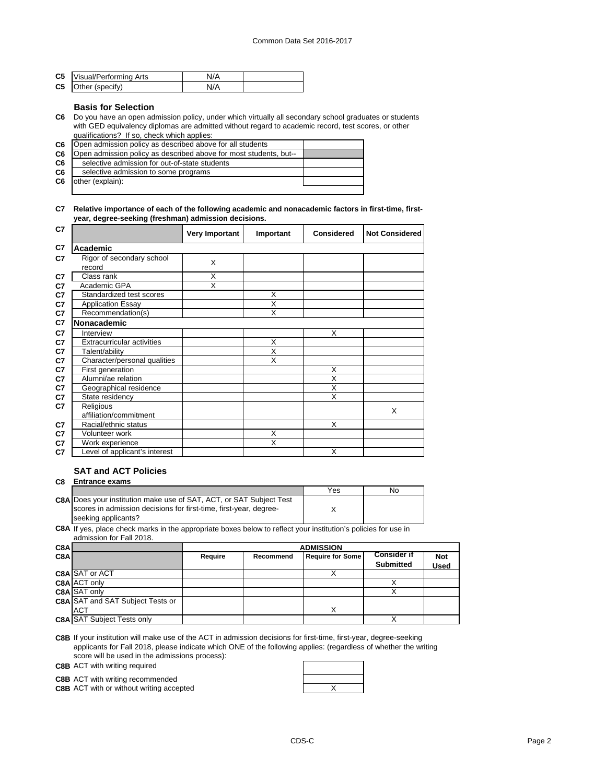| <b>C5</b> Visual/Performing Arts | N/A |  |
|----------------------------------|-----|--|
| C5 Other (specify)               | N/A |  |

### **Basis for Selection**

**C6** Do you have an open admission policy, under which virtually all secondary school graduates or students with GED equivalency diplomas are admitted without regard to academic record, test scores, or other qualifications? If so, check which applies:

| C <sub>6</sub> | Open admission policy as described above for all students         |  |
|----------------|-------------------------------------------------------------------|--|
| C <sub>6</sub> | Open admission policy as described above for most students, but-- |  |
| C6             | selective admission for out-of-state students                     |  |
| C6             | selective admission to some programs                              |  |
| C <sub>6</sub> | other (explain):                                                  |  |
|                |                                                                   |  |

### **C7 Relative importance of each of the following academic and nonacademic factors in first-time, firstyear, degree-seeking (freshman) admission decisions.**

| C7 |                                     | <b>Very Important</b> | Important               | <b>Considered</b>       | <b>Not Considered</b> |
|----|-------------------------------------|-----------------------|-------------------------|-------------------------|-----------------------|
| C7 | Academic                            |                       |                         |                         |                       |
| C7 | Rigor of secondary school<br>record | X                     |                         |                         |                       |
| C7 | Class rank                          | Χ                     |                         |                         |                       |
| C7 | Academic GPA                        | X                     |                         |                         |                       |
| C7 | Standardized test scores            |                       | X                       |                         |                       |
| C7 | <b>Application Essay</b>            |                       | X                       |                         |                       |
| C7 | Recommendation(s)                   |                       | X                       |                         |                       |
| C7 | Nonacademic                         |                       |                         |                         |                       |
| C7 | Interview                           |                       |                         | X                       |                       |
| C7 | <b>Extracurricular activities</b>   |                       | X                       |                         |                       |
| C7 | Talent/ability                      |                       | $\overline{\mathsf{x}}$ |                         |                       |
| C7 | Character/personal qualities        |                       | X                       |                         |                       |
| C7 | First generation                    |                       |                         | X                       |                       |
| C7 | Alumni/ae relation                  |                       |                         | $\overline{\mathsf{x}}$ |                       |
| C7 | Geographical residence              |                       |                         | X                       |                       |
| C7 | State residency                     |                       |                         | X                       |                       |
| C7 | Religious                           |                       |                         |                         | X                     |
|    | affiliation/commitment              |                       |                         |                         |                       |
| C7 | Racial/ethnic status                |                       |                         | X                       |                       |
| C7 | Volunteer work                      |                       | X                       |                         |                       |
| C7 | Work experience                     |                       | X                       |                         |                       |
| C7 | Level of applicant's interest       |                       |                         | X                       |                       |

# **SAT and ACT Policies**

### **C8 Entrance exams**

|                                                                                                                                                                                                                                | Yes | No |
|--------------------------------------------------------------------------------------------------------------------------------------------------------------------------------------------------------------------------------|-----|----|
| <b>C8A Does your institution make use of SAT, ACT, or SAT Subject Test</b>                                                                                                                                                     |     |    |
| scores in admission decisions for first-time, first-year, degree-                                                                                                                                                              |     |    |
| seeking applicants?                                                                                                                                                                                                            |     |    |
| COA If you in longitude the second of the consequence in the second results of the second second second the second second second the second second second second second second second second second second second second secon |     |    |

**C8A** If yes, place check marks in the appropriate boxes below to reflect your institution's policies for use in admission for Fall 2018.

| C8Al |                                         | <b>ADMISSION</b> |           |                         |                                        |             |
|------|-----------------------------------------|------------------|-----------|-------------------------|----------------------------------------|-------------|
| C8A  |                                         | Require          | Recommend | <b>Require for Some</b> | <b>Consider if</b><br><b>Submitted</b> | <b>Not</b>  |
|      |                                         |                  |           |                         |                                        | <b>Used</b> |
|      | <b>C8A SAT or ACT</b>                   |                  |           |                         |                                        |             |
|      | C8A ACT only                            |                  |           |                         |                                        |             |
|      | C8A SAT only                            |                  |           |                         |                                        |             |
|      | <b>C8A SAT and SAT Subject Tests or</b> |                  |           |                         |                                        |             |
|      | <b>ACT</b>                              |                  |           | X                       |                                        |             |
|      | <b>C8A SAT Subject Tests only</b>       |                  |           |                         |                                        |             |

**C8B** If your institution will make use of the ACT in admission decisions for first-time, first-year, degree-seeking applicants for Fall 2018, please indicate which ONE of the following applies: (regardless of whether the writing score will be used in the admissions process):

**C8B** ACT with writing required

**C8B** ACT with writing recommended

**C8B** ACT with or without writing accepted **ACT ACCES REGISTER** 

| X |
|---|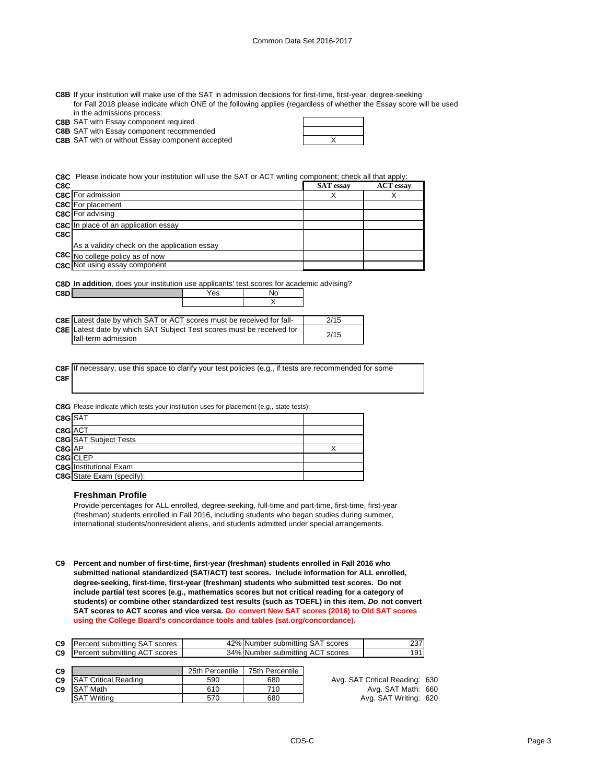**C8B** If your institution will make use of the SAT in admission decisions for first-time, first-year, degree-seeking for Fall 2018 please indicate which ONE of the following applies (regardless of whether the Essay score will be used in the admissions process:

**C8B** SAT with Essay component required

**C8B** SAT with Essay component recommended

**C8B** X SAT with or without Essay component accepted

**C8C** Please indicate how your institution will use the SAT or ACT writing component; check all that apply:

| C8C |                                              | <b>SAT</b> essay | <b>ACT</b> essay |
|-----|----------------------------------------------|------------------|------------------|
|     | <b>C8C</b> For admission                     | X                |                  |
|     | <b>C8C</b> For placement                     |                  |                  |
|     | <b>C8C</b> For advising                      |                  |                  |
|     | C8C In place of an application essay         |                  |                  |
| C8C |                                              |                  |                  |
|     | As a validity check on the application essay |                  |                  |
|     | C8C No college policy as of now              |                  |                  |
|     | C8C Not using essay component                |                  |                  |

X

**C8D In addition**, does your institution use applicants' test scores for academic advising? **C8D** Mo

| <b>C8E</b> Latest date by which SAT or ACT scores must be received for fall- | 2/15 |
|------------------------------------------------------------------------------|------|
| C8E Latest date by which SAT Subject Test scores must be received for        |      |
| fall-term admission                                                          | 2/15 |

**C8F C8F** If necessary, use this space to clarify your test policies (e.g., if tests are recommended for some

**C8G** Please indicate which tests your institution uses for placement (e.g., state tests):

| C8GSAT  |                                  |  |
|---------|----------------------------------|--|
| C8G ACT |                                  |  |
|         | <b>C8G</b> SAT Subject Tests     |  |
|         | C8G<br><u>AP</u><br>C8G<br>CLEP  |  |
|         |                                  |  |
|         | <b>C8G</b> Institutional Exam    |  |
|         | <b>C8G</b> State Exam (specify): |  |

#### **Freshman Profile**

Provide percentages for ALL enrolled, degree-seeking, full-time and part-time, first-time, first-year (freshman) students enrolled in Fall 2016, including students who began studies during summer, international students/nonresident aliens, and students admitted under special arrangements.

**C9 Percent and number of first-time, first-year (freshman) students enrolled in Fall 2016 who submitted national standardized (SAT/ACT) test scores. Include information for ALL enrolled, degree-seeking, first-time, first-year (freshman) students who submitted test scores. Do not include partial test scores (e.g., mathematics scores but not critical reading for a category of students) or combine other standardized test results (such as TOEFL) in this item.** *Do* **not convert SAT scores to ACT scores and vice versa.** *Do* **convert New SAT scores (2016) to Old SAT scores using the College Board's concordance tools and tables (sat.org/concordance).**

| C9             | IPercent submitting SAT scores         | 42% Number submitting SAT scores | 237 |
|----------------|----------------------------------------|----------------------------------|-----|
| C <sub>9</sub> | <b>I Percent submitting ACT scores</b> | 34% Number submitting ACT scores | 19٬ |

| C <sub>9</sub> |                             | 25th Percentile | 75th Percentile |
|----------------|-----------------------------|-----------------|-----------------|
| C <sub>9</sub> | <b>SAT Critical Reading</b> | 590             | 680             |
| C <sub>9</sub> | <b>SAT Math</b>             | 610             | 710             |
|                | <b>ISAT Writing</b>         | 570             | 680             |

Avg. SAT Critical Reading: 630 **Avg. SAT Math: 660** Avg. SAT Writing: 620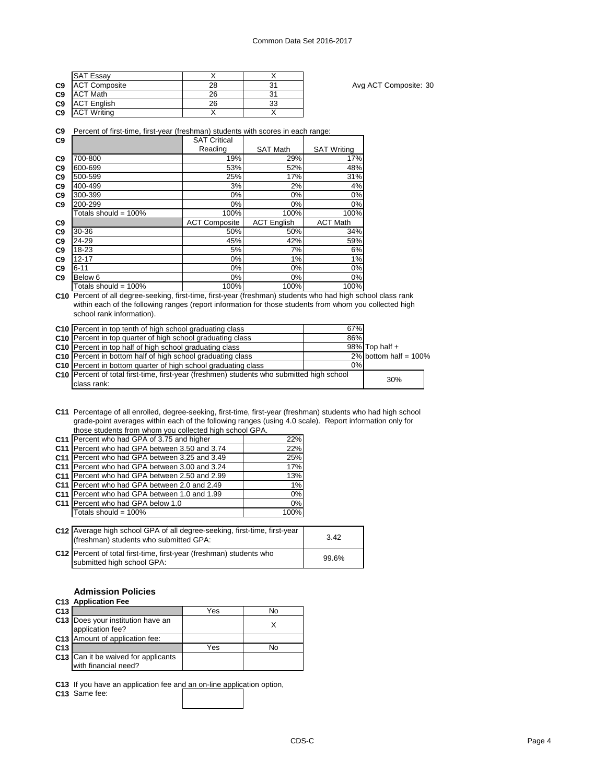|                | <b>SAT Essay</b>     |    |    |
|----------------|----------------------|----|----|
| C <sub>9</sub> | <b>ACT Composite</b> | 28 |    |
| C <sub>9</sub> | <b>ACT Math</b>      | 26 |    |
| C <sub>9</sub> | <b>ACT English</b>   | 26 | 33 |
| C <sub>9</sub> | <b>ACT Writing</b>   |    |    |

Avg ACT Composite: 30

**C9** Percent of first-time, first-year (freshman) students with scores in each range:

| C9             |                         | <b>SAT Critical</b>  |                    |                    |
|----------------|-------------------------|----------------------|--------------------|--------------------|
|                |                         | Reading              | <b>SAT Math</b>    | <b>SAT Writing</b> |
| C <sub>9</sub> | 700-800                 | 19%                  | 29%                | 17%                |
| C <sub>9</sub> | 600-699                 | 53%                  | 52%                | 48%                |
| C <sub>9</sub> | 500-599                 | 25%                  | 17%                | 31%                |
| C <sub>9</sub> | 400-499                 | 3%                   | 2%                 | 4%                 |
| C <sub>9</sub> | 300-399                 | 0%                   | $0\%$              | 0%                 |
| C <sub>9</sub> | 200-299                 | $0\%$                | $0\%$              | $0\%$              |
|                | Totals should = $100\%$ | 100%                 | 100%               | 100%               |
| C <sub>9</sub> |                         | <b>ACT Composite</b> | <b>ACT English</b> | <b>ACT Math</b>    |
| C <sub>9</sub> | 30-36                   | 50%                  | 50%                | 34%                |
| C <sub>9</sub> | 24-29                   | 45%                  | 42%                | 59%                |
| C <sub>9</sub> | 18-23                   | 5%                   | 7%                 | 6%                 |
| C <sub>9</sub> | $12 - 17$               | 0%                   | 1%                 | 1%                 |
| C <sub>9</sub> | $6 - 11$                | $0\%$                | $0\%$              | 0%                 |
| C <sub>9</sub> | Below 6                 | $0\%$                | $0\%$              | 0%                 |
|                | Totals should = $100\%$ | 100%                 | 100%               | 100%               |

**C10** Percent of all degree-seeking, first-time, first-year (freshman) students who had high school class rank within each of the following ranges (report information for those students from whom you collected high school rank information).

| C10 Percent in top tenth of high school graduating class                                  | 67%  |                          |  |
|-------------------------------------------------------------------------------------------|------|--------------------------|--|
| C10 Percent in top quarter of high school graduating class                                | 86%  |                          |  |
| C10 Percent in top half of high school graduating class                                   |      | $98\%$ Top half +        |  |
| C10 Percent in bottom half of high school graduating class                                |      | 2% bottom half = $100\%$ |  |
| C10 Percent in bottom quarter of high school graduating class                             | 0% l |                          |  |
| C10 Percent of total first-time, first-year (freshmen) students who submitted high school | 30%  |                          |  |
| class rank:                                                                               |      |                          |  |

**C11** Percentage of all enrolled, degree-seeking, first-time, first-year (freshman) students who had high school grade-point averages within each of the following ranges (using 4.0 scale). Report information only for those students from whom you collected high school GPA.

| C11 Percent who had GPA of 3.75 and higher                              | 22%  |
|-------------------------------------------------------------------------|------|
| C11 Percent who had GPA between 3.50 and 3.74                           | 22%  |
| C11 Percent who had GPA between 3.25 and 3.49                           | 25%  |
| C11 Percent who had GPA between 3.00 and 3.24                           | 17%  |
| C11 Percent who had GPA between 2.50 and 2.99                           | 13%  |
| C11 Percent who had GPA between 2.0 and 2.49                            | 1%   |
| C <sub>11</sub> Percent who had GPA between 1.0 and 1.99                | 0%   |
| C11 Percent who had GPA below 1.0                                       | 0%   |
| Totals should = 100%                                                    | 100% |
|                                                                         |      |
| C12 Average high school GPA of all degree-seeking first-time first-vear |      |

| <b>C12</b> Average high school GPA of all degree-seeking, first-time, first-year<br>(freshman) students who submitted GPA: | 3.42  |
|----------------------------------------------------------------------------------------------------------------------------|-------|
| C12 Percent of total first-time, first-year (freshman) students who<br>submitted high school GPA:                          | 99.6% |

# **Admission Policies**

|                 | C <sub>13</sub> Application Fee                             |     |    |
|-----------------|-------------------------------------------------------------|-----|----|
| C <sub>13</sub> |                                                             | Yes | No |
|                 | C13 Does your institution have an<br>application fee?       |     |    |
|                 | <b>C13</b> Amount of application fee:                       |     |    |
| C <sub>13</sub> |                                                             | Yes | N٥ |
|                 | C13 Can it be waived for applicants<br>with financial need? |     |    |

**C13** If you have an application fee and an on-line application option,

**C13** Same fee: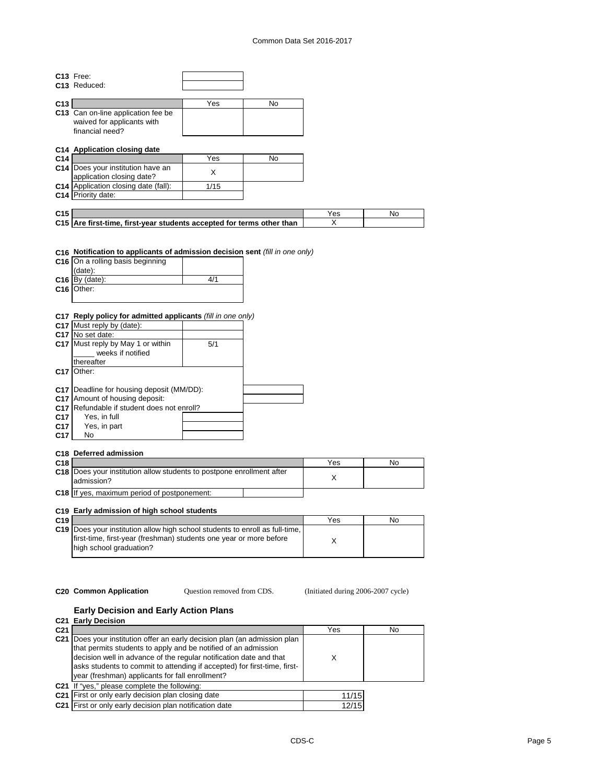### Common Data Set 2016-2017

|                 | C13 Free:                                                                     |      |    |     |    |
|-----------------|-------------------------------------------------------------------------------|------|----|-----|----|
|                 | C <sub>13</sub> Reduced:                                                      |      |    |     |    |
|                 |                                                                               |      |    |     |    |
| C13             |                                                                               | Yes  | No |     |    |
|                 | C13 Can on-line application fee be                                            |      |    |     |    |
|                 | waived for applicants with                                                    |      |    |     |    |
|                 | financial need?                                                               |      |    |     |    |
|                 |                                                                               |      |    |     |    |
|                 | C14 Application closing date                                                  |      |    |     |    |
| C <sub>14</sub> |                                                                               | Yes  | No |     |    |
|                 |                                                                               |      |    |     |    |
|                 | C14 Does your institution have an                                             | X    |    |     |    |
|                 | application closing date?                                                     |      |    |     |    |
|                 | C14 Application closing date (fall):                                          | 1/15 |    |     |    |
|                 | C14 Priority date:                                                            |      |    |     |    |
|                 |                                                                               |      |    |     |    |
| C <sub>15</sub> |                                                                               |      |    | Yes | No |
|                 | C15 Are first-time, first-year students accepted for terms other than         |      |    | X   |    |
|                 |                                                                               |      |    |     |    |
|                 | C16 On a rolling basis beginning<br>(date):<br>$C16$ By (date):<br>C16 Other: | 4/1  |    |     |    |
|                 | C17 Reply policy for admitted applicants (fill in one only)                   |      |    |     |    |
|                 | C17 Must reply by (date):                                                     |      |    |     |    |
|                 | C17 No set date:                                                              |      |    |     |    |
|                 | C17 Must reply by May 1 or within                                             | 5/1  |    |     |    |
|                 | weeks if notified                                                             |      |    |     |    |
|                 | thereafter                                                                    |      |    |     |    |
|                 | C <sub>17</sub> Other:                                                        |      |    |     |    |
|                 |                                                                               |      |    |     |    |
|                 | C17 Deadline for housing deposit (MM/DD):                                     |      |    |     |    |
|                 | C17 Amount of housing deposit:                                                |      |    |     |    |
|                 | C17 Refundable if student does not enroll?                                    |      |    |     |    |
| C <sub>17</sub> | Yes, in full                                                                  |      |    |     |    |
| C17             | Yes, in part                                                                  |      |    |     |    |
| C17             | No                                                                            |      |    |     |    |
|                 |                                                                               |      |    |     |    |
|                 | C18 Deferred admission                                                        |      |    |     |    |
|                 |                                                                               |      |    |     |    |
| C <sub>18</sub> | C18 Does your institution allow students to postpone enrollment after         |      |    | Yes | Nc |
|                 |                                                                               |      |    |     |    |

| C <sub>18</sub> |                                                                                            | Yes | N0 |
|-----------------|--------------------------------------------------------------------------------------------|-----|----|
|                 | <b>C18</b> Does your institution allow students to postpone enrollment after<br>admission? |     |    |
|                 | <b>C18</b> If yes, maximum period of postponement:                                         |     |    |

# **C19 Early admission of high school students**

| C <sub>19</sub> |                                                                                                                                                                               | Yes | No |
|-----------------|-------------------------------------------------------------------------------------------------------------------------------------------------------------------------------|-----|----|
|                 | C19 Does your institution allow high school students to enroll as full-time.<br>first-time, first-year (freshman) students one year or more before<br>high school graduation? |     |    |

Question removed from CDS.

**C20 Common Application Question removed from CDS.** (Initiated during 2006-2007 cycle)

### **Early Decision and Early Action Plans**

|                 | C <sub>21</sub> Early Decision                                                                                                                                                                                                                                                                                                                     |       |    |
|-----------------|----------------------------------------------------------------------------------------------------------------------------------------------------------------------------------------------------------------------------------------------------------------------------------------------------------------------------------------------------|-------|----|
| C <sub>21</sub> |                                                                                                                                                                                                                                                                                                                                                    | Yes   | No |
|                 | C21   Does your institution offer an early decision plan (an admission plan<br>that permits students to apply and be notified of an admission<br>decision well in advance of the regular notification date and that<br>asks students to commit to attending if accepted) for first-time, first-<br>year (freshman) applicants for fall enrollment? | Χ     |    |
|                 | C21 If "yes," please complete the following:                                                                                                                                                                                                                                                                                                       |       |    |
|                 | C21 First or only early decision plan closing date                                                                                                                                                                                                                                                                                                 | 11/15 |    |
|                 | C21 First or only early decision plan notification date                                                                                                                                                                                                                                                                                            | 12/15 |    |